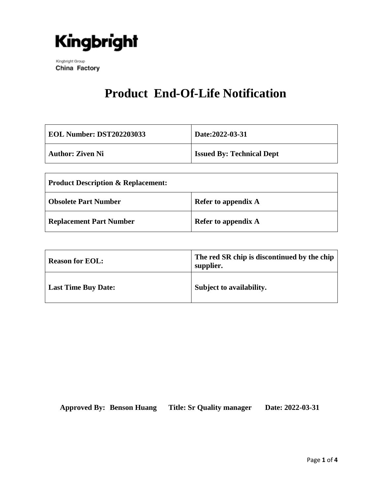

Kingbright Group China Factory

## **Product End-Of-Life Notification**

| <b>EOL Number: DST202203033</b> | Date:2022-03-31                  |
|---------------------------------|----------------------------------|
| <b>Author: Ziven Ni</b>         | <b>Issued By: Technical Dept</b> |

| <b>Product Description &amp; Replacement:</b> |                            |  |
|-----------------------------------------------|----------------------------|--|
| <b>Obsolete Part Number</b>                   | <b>Refer to appendix A</b> |  |
| <b>Replacement Part Number</b>                | <b>Refer to appendix A</b> |  |

| <b>Reason for EOL:</b>     | The red SR chip is discontinued by the chip<br>supplier. |
|----------------------------|----------------------------------------------------------|
| <b>Last Time Buy Date:</b> | Subject to availability.                                 |

**Approved By: Benson Huang Title: Sr Quality manager Date: 2022-03-31**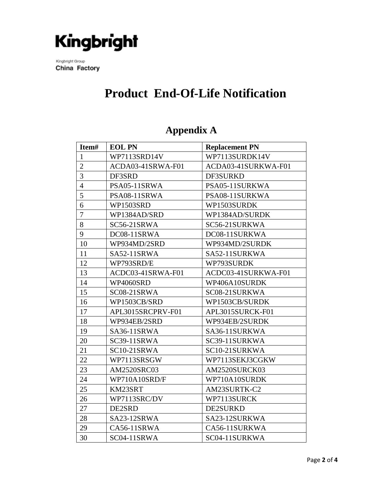

Kingbright Group China Factory

## **Product End-Of-Life Notification**

| Item#          | <b>EOL PN</b>     | <b>Replacement PN</b> |
|----------------|-------------------|-----------------------|
| $\mathbf{1}$   | WP7113SRD14V      | WP7113SURDK14V        |
| $\overline{2}$ | ACDA03-41SRWA-F01 | ACDA03-41SURKWA-F01   |
| $\overline{3}$ | DF3SRD            | DF3SURKD              |
| $\overline{4}$ | PSA05-11SRWA      | PSA05-11SURKWA        |
| 5              | PSA08-11SRWA      | PSA08-11SURKWA        |
| 6              | WP1503SRD         | WP1503SURDK           |
| $\overline{7}$ | WP1384AD/SRD      | WP1384AD/SURDK        |
| 8              | SC56-21SRWA       | SC56-21SURKWA         |
| 9              | DC08-11SRWA       | DC08-11SURKWA         |
| 10             | WP934MD/2SRD      | WP934MD/2SURDK        |
| 11             | SA52-11SRWA       | SA52-11SURKWA         |
| 12             | WP793SRD/E        | WP793SURDK            |
| 13             | ACDC03-41SRWA-F01 | ACDC03-41SURKWA-F01   |
| 14             | WP4060SRD         | WP406A10SURDK         |
| 15             | SC08-21SRWA       | SC08-21SURKWA         |
| 16             | WP1503CB/SRD      | WP1503CB/SURDK        |
| 17             | APL3015SRCPRV-F01 | APL3015SURCK-F01      |
| 18             | WP934EB/2SRD      | WP934EB/2SURDK        |
| 19             | SA36-11SRWA       | SA36-11SURKWA         |
| 20             | SC39-11SRWA       | SC39-11SURKWA         |
| 21             | SC10-21SRWA       | SC10-21SURKWA         |
| 22             | WP7113SRSGW       | WP7113SEKJ3CGKW       |
| 23             | AM2520SRC03       | AM2520SURCK03         |
| 24             | WP710A10SRD/F     | WP710A10SURDK         |
| 25             | KM23SRT           | AM23SURTK-C2          |
| 26             | WP7113SRC/DV      | WP7113SURCK           |
| 27             | DE2SRD            | <b>DE2SURKD</b>       |
| 28             | SA23-12SRWA       | SA23-12SURKWA         |
| 29             | CA56-11SRWA       | CA56-11SURKWA         |
| 30             | SC04-11SRWA       | SC04-11SURKWA         |

#### **Appendix A**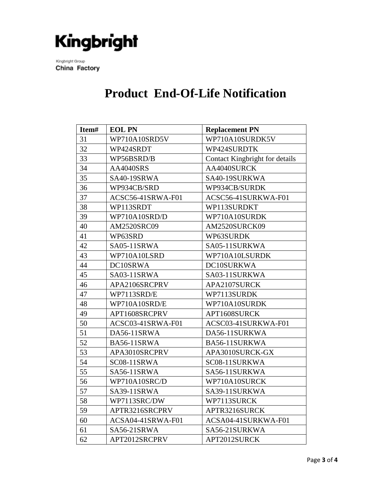# Kingbright

Kingbright Group China Factory

### **Product End-Of-Life Notification**

| Item# | <b>EOL PN</b>     | <b>Replacement PN</b>          |
|-------|-------------------|--------------------------------|
| 31    | WP710A10SRD5V     | WP710A10SURDK5V                |
| 32    | WP424SRDT         | WP424SURDTK                    |
| 33    | WP56BSRD/B        | Contact Kingbright for details |
| 34    | <b>AA4040SRS</b>  | AA4040SURCK                    |
| 35    | SA40-19SRWA       | SA40-19SURKWA                  |
| 36    | WP934CB/SRD       | WP934CB/SURDK                  |
| 37    | ACSC56-41SRWA-F01 | ACSC56-41SURKWA-F01            |
| 38    | WP113SRDT         | WP113SURDKT                    |
| 39    | WP710A10SRD/D     | WP710A10SURDK                  |
| 40    | AM2520SRC09       | AM2520SURCK09                  |
| 41    | WP63SRD           | WP63SURDK                      |
| 42    | SA05-11SRWA       | SA05-11SURKWA                  |
| 43    | WP710A10LSRD      | WP710A10LSURDK                 |
| 44    | DC10SRWA          | DC10SURKWA                     |
| 45    | SA03-11SRWA       | SA03-11SURKWA                  |
| 46    | APA2106SRCPRV     | APA2107SURCK                   |
| 47    | WP7113SRD/E       | WP7113SURDK                    |
| 48    | WP710A10SRD/E     | WP710A10SURDK                  |
| 49    | APT1608SRCPRV     | APT1608SURCK                   |
| 50    | ACSC03-41SRWA-F01 | ACSC03-41SURKWA-F01            |
| 51    | DA56-11SRWA       | DA56-11SURKWA                  |
| 52    | BA56-11SRWA       | BA56-11SURKWA                  |
| 53    | APA3010SRCPRV     | APA3010SURCK-GX                |
| 54    | SC08-11SRWA       | SC08-11SURKWA                  |
| 55    | SA56-11SRWA       | SA56-11SURKWA                  |
| 56    | WP710A10SRC/D     | WP710A10SURCK                  |
| 57    | SA39-11SRWA       | SA39-11SURKWA                  |
| 58    | WP7113SRC/DW      | WP7113SURCK                    |
| 59    | APTR3216SRCPRV    | APTR3216SURCK                  |
| 60    | ACSA04-41SRWA-F01 | ACSA04-41SURKWA-F01            |
| 61    | SA56-21SRWA       | SA56-21SURKWA                  |
| 62    | APT2012SRCPRV     | APT2012SURCK                   |